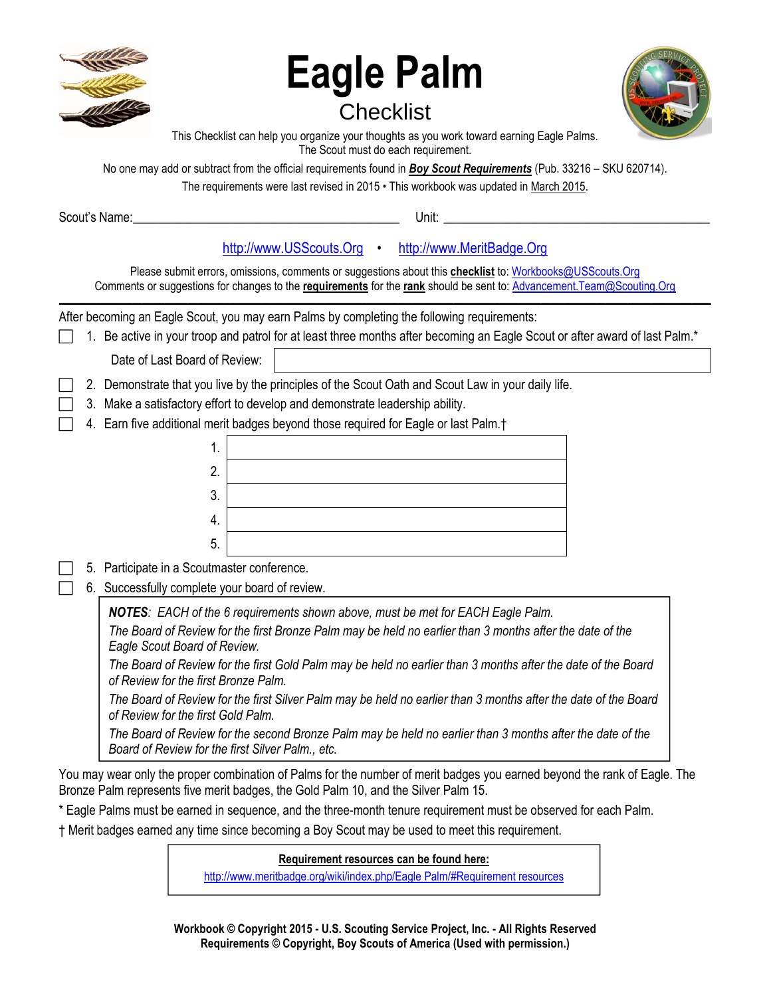| <b>Eagle Palm</b><br><b>Checklist</b><br>This Checklist can help you organize your thoughts as you work toward earning Eagle Palms.<br>The Scout must do each requirement.<br>No one may add or subtract from the official requirements found in <b>Boy Scout Requirements</b> (Pub. 33216 – SKU 620714).                                                                                                                                                                                                                                                                                                                                                                                                                                                                                                                                                                                                                                                                                                                                                                                                                                                     |
|---------------------------------------------------------------------------------------------------------------------------------------------------------------------------------------------------------------------------------------------------------------------------------------------------------------------------------------------------------------------------------------------------------------------------------------------------------------------------------------------------------------------------------------------------------------------------------------------------------------------------------------------------------------------------------------------------------------------------------------------------------------------------------------------------------------------------------------------------------------------------------------------------------------------------------------------------------------------------------------------------------------------------------------------------------------------------------------------------------------------------------------------------------------|
| The requirements were last revised in 2015 • This workbook was updated in March 2015.<br>Unit:                                                                                                                                                                                                                                                                                                                                                                                                                                                                                                                                                                                                                                                                                                                                                                                                                                                                                                                                                                                                                                                                |
|                                                                                                                                                                                                                                                                                                                                                                                                                                                                                                                                                                                                                                                                                                                                                                                                                                                                                                                                                                                                                                                                                                                                                               |
| http://www.USScouts.Org · http://www.MeritBadge.Org<br>Please submit errors, omissions, comments or suggestions about this checklist to: Workbooks@USScouts.Org<br>Comments or suggestions for changes to the requirements for the rank should be sent to: Advancement. Team@Scouting. Org                                                                                                                                                                                                                                                                                                                                                                                                                                                                                                                                                                                                                                                                                                                                                                                                                                                                    |
| After becoming an Eagle Scout, you may earn Palms by completing the following requirements:<br>1. Be active in your troop and patrol for at least three months after becoming an Eagle Scout or after award of last Palm.*                                                                                                                                                                                                                                                                                                                                                                                                                                                                                                                                                                                                                                                                                                                                                                                                                                                                                                                                    |
| Date of Last Board of Review:                                                                                                                                                                                                                                                                                                                                                                                                                                                                                                                                                                                                                                                                                                                                                                                                                                                                                                                                                                                                                                                                                                                                 |
| 2. Demonstrate that you live by the principles of the Scout Oath and Scout Law in your daily life.<br>3. Make a satisfactory effort to develop and demonstrate leadership ability.<br>4. Earn five additional merit badges beyond those required for Eagle or last Palm. <sup>†</sup><br>1.<br>2.<br>3.<br>4.<br>5.<br>5. Participate in a Scoutmaster conference.<br>6. Successfully complete your board of review.                                                                                                                                                                                                                                                                                                                                                                                                                                                                                                                                                                                                                                                                                                                                          |
| <b>NOTES:</b> EACH of the 6 requirements shown above, must be met for EACH Eagle Palm.<br>The Board of Review for the first Bronze Palm may be held no earlier than 3 months after the date of the<br>Eagle Scout Board of Review.<br>The Board of Review for the first Gold Palm may be held no earlier than 3 months after the date of the Board<br>of Review for the first Bronze Palm.<br>The Board of Review for the first Silver Palm may be held no earlier than 3 months after the date of the Board<br>of Review for the first Gold Palm.<br>The Board of Review for the second Bronze Palm may be held no earlier than 3 months after the date of the<br>Board of Review for the first Silver Palm., etc.<br>You may wear only the proper combination of Palms for the number of merit badges you earned beyond the rank of Eagle. The<br>Bronze Palm represents five merit badges, the Gold Palm 10, and the Silver Palm 15.<br>* Eagle Palms must be earned in sequence, and the three-month tenure requirement must be observed for each Palm.<br>+ Merit hadges carned any time since becoming a Day Coout may be used to meet this requirement |

† Merit badges earned any time since becoming a Boy Scout may be used to meet this requirement.

# **Requirement resources can be found here:**

[http://www.meritbadge.org/wiki/index.php/Eagle Palm/#Requirement resources](http://www.meritbadge.org/wiki/index.php/Eagle_Palm#Requirement_resources)